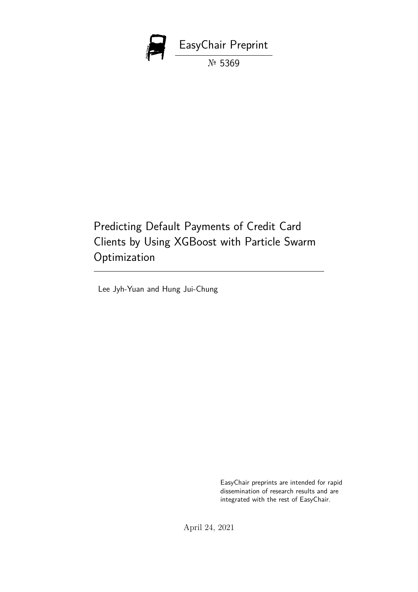

Predicting Default Payments of Credit Card Clients by Using XGBoost with Particle Swarm Optimization

Lee Jyh-Yuan and Hung Jui-Chung

EasyChair preprints are intended for rapid dissemination of research results and are integrated with the rest of EasyChair.

April 24, 2021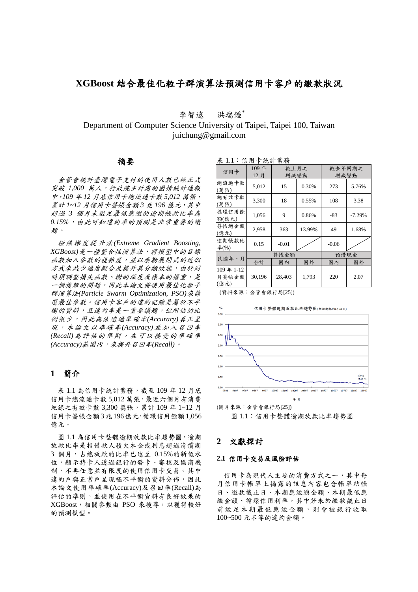# **XGBoost** 結合最佳化粒子群演算法預測信用卡客戶的繳款狀況

李智遠 洪瑞鍾\*

Department of Computer Science University of Taipei, Taipei 100, Taiwan juichung@gmail.com

## 摘要

金管會統計臺灣電子支付的使用人數已經正式 突破 *1,000* 萬人,行政院主計處的國情統計通報 中,*109* 年 *12* 月底信用卡總流通卡數 *5,012* 萬張, 累計 *1~12* 月信用卡簽帳金額 *3* 兆 *196* 億元,其中 超過 *3* 個月未繳足最低應繳的逾期帳款比率為 *0.15%*,由此可知違約率的預測是非常重要的議 題。

極限梯度提升法*(Extreme Gradient Boosting, XGBoost)*是一種整合性演算法,將模型中的目標 函數加入參數的複雜度,並以泰勒展開式的近似 方式來減少過度擬合及提升其分類效能,由於同 時須調整損失函數、樹的深度及樣本的權重,是 一個複雜的問題,因此本論文將使用最佳化粒子 群演算法*(Particle Swarm Optimization, PSO)*來篩 選最佳參數。信用卡客戶的違約記錄是屬於不平 衡的資料,且違約率是一重要議題,但所佔的比 例很少,因此無法透過準確率*(Accuracy)*真正呈 現,本論文以準確率*(Accuracy)*並加入召回率 *(Recall)*為評估的準則,在可以接受的準確率 *(Accuracy)*範圍內,來提升召回率*(Recall)*。

## **1** 簡介

表 1.1 為信用卡統計業務,截至 109年 12 月底 信用卡總流通卡數 5,012 萬張,最近六個月有消費 紀錄之有效卡數 3,300 萬張,累計 109 年 1~12 月 信用卡簽帳金額3兆196億元,循環信用餘額1,056 億元。

圖 1.1 為信用卡整體逾期放款比率趨勢圖,逾期 放款比率是指借款人積欠本金或利息超過清償期 3 個月,占總放款的比率已達至 0.15%的新低水 位,顯示持卡人透過銀行的發卡、審核及協商機 制,不再任意並有限度的使用信用卡交易。其中 違約戶與正常戶呈現極不平衡的資料分佈,因此 本論文使用準確率(Accuracy)及召回率(Recall)為 評估的準則,並使用在不平衡資料有良好效果的 XGBoost,相關參數由 PSO 來搜尋,以獲得較好 的預測模型。

表 1.1:信用卡統計業務

| $\cdot$ , $\cdot$ , $\cdot$ , $\cdot$<br>211.324 |             |              |        |                |          |  |  |
|--------------------------------------------------|-------------|--------------|--------|----------------|----------|--|--|
| 信用卡                                              | 109年<br>12月 | 較上月之<br>增減變動 |        | 較去年同期之<br>增減變動 |          |  |  |
| 總流通卡數<br>(萬張)                                    | 5.012       | 15           | 0.30%  | 273            | 5.76%    |  |  |
| 總有效卡數<br>(萬張)                                    | 3,300       | 18           | 0.55%  | 108            | 3.38     |  |  |
| 循環信用餘<br>額(億元)                                   | 1,056       | 9            | 0.86%  | $-83$          | $-7.29%$ |  |  |
| 簽帳總金額<br>(億元)                                    | 2,958       | 363          | 13.99% | 49             | 1.68%    |  |  |
| 逾期帳款比<br>率(%)                                    | 0.15        | $-0.01$      |        | $-0.06$        |          |  |  |
| 民國年、月                                            | 簽帳金額        |              | 預借現金   |                |          |  |  |
|                                                  | 合計          | 國內           | 國外     | 國內             | 國外       |  |  |
| 109年1-12<br>月簽帳金額<br>(億元)                        | 30,196      | 28,403       | 1,793  | 220            | 2.07     |  |  |

(資料來源:金管會銀行局[25])



圖 1.1:信用卡整體逾期放款比率趨勢圖

### **2** 文獻探討

### **2.1** 信用卡交易及風險評估

信用卡為現代人主要的消費方式之一,其中每 月信用卡帳單上揭露的訊息內容包含帳單結帳 日、繳款截止日、本期應繳總金額、本期最低應 繳金額、循環信用利率,其中若未於繳款截止日 前繳足本期最低應繳金額,則會被銀行收取 100~500 元不等的違約金額。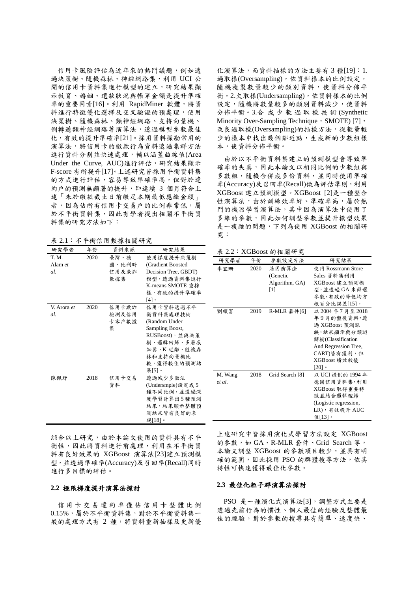信用卡風險評估為近年來的熱門議題,例如透 過決策樹、隨機森林、神經網路集,利用 UCI 公 開的信用卡資料集進行模型的建立,研究結果顯 示教育、婚姻、還款狀況與帳單金額是提升準確 率的重要因素[16]。利用 RapidMiner 軟體,將資 料進行特徵優化選擇及交叉驗證的預處理,使用 決策樹、隨機森林、類神經網路、支持向量機、 倒轉遞類神經網路等演算法,透過模型參數最佳 化,有效的提升準確率[21]。採用資料探勘常用的 演算法,將信用卡的繳款行為資料透過集群方法 進行資料分割並快速處理,輔以涵蓋曲線值(Area Under the Curve, AUC)進行評估,研究結果顯示 F-score 有所提升[17]。上述研究皆採用平衡資料集 的方式進行評估,容易導致準確率高,但對於違 約戶的預測無顯著的提升,即連續 3 個月符合上 述「未於繳款截止日前繳足本期最低應繳金額」 者,因為佔所有信用卡交易戶的比例非常低,屬 於不平衡資料集,因此有學者提出相關不平衡資 料集的研究方法如下:

表 2.1:不平衡信用數據相關研究

| ww          |      | · ´l`l 网 旧 /l 交 源 /l 网 "/l /u |                      |
|-------------|------|-------------------------------|----------------------|
| 研究學者        | 年份   | 資料來源                          | 研究結果                 |
| T. M.       | 2020 | 喜灣、德                          | 使用梯度提升決策樹            |
| Alam et     |      | 國、比利時                         | (Gradient Boosted    |
| al.         |      | 信用及欺詐                         | Decision Tree, GBDT) |
|             |      | 數據集                           | 模型,透過資料集進行           |
|             |      |                               | K-means SMOTE 重採     |
|             |      |                               | 樣,有效的提升準確率           |
|             |      |                               | ∘ [4]                |
| V. Arora et | 2020 | 信用卡欺詐                         | 信用卡資料透過不平            |
| al.         |      | 檢測及信用                         | 衡資料集處理技術             |
|             |      | 卡客戶數據                         | (Random Under        |
|             |      | 集                             | Sampling Boost,      |
|             |      |                               | RUSBoost),並與決策       |
|             |      |                               | 樹、邏輯回歸、多層感           |
|             |      |                               | 知器、K 近鄰、隨機森          |
|             |      |                               | 林和支持向量機比             |
|             |      |                               | 較,獲得較佳的預測結           |
|             |      |                               | 果[5]。                |
| 陳佩妤         | 2018 | 信用卡交易                         | 透過減少多數法              |
|             |      | 資料                            | (Undersmple)設定成 5    |
|             |      |                               | 種不同比例,並透過深           |
|             |      |                               | 度學習計算出5種預測           |
|             |      |                               | 結果,結果顯示整體預           |
|             |      |                               | 測結果皆有良好的表            |
|             |      |                               | 現[18]。               |

化演算法,而資料抽樣的方法主要有 3 種[19]:1. 過取樣(Oversampling),依資料樣本的比例設定, 隨機複製數量較少的類別資料,使資料分佈平 衡。2.欠取樣(Undersampling),依資料樣本的比例 設定,隨機將數量較多的類別資料減少,使資料 分佈平衡。3.合 成少數過 取 樣技術 (Synthetic Minority Over-Sampling Technique, SMOTE) [7], 改良過取樣(Oversampling)的抽樣方法,從數量較 少的樣本中找出幾個鄰近點,生成新的少數組樣 本,使資料分佈平衡。

由於以不平衡資料集建立的預測模型會導致準 確率的失真,因此本論文以相同比例的少數組與 多數組,隨機合併成多份資料,並同時使用準確 率(Accuracy)及召回率(Recall)做為評估準則,利用 XGBoost 建立預測模型。XGBoost [2]是一種整合 性演算法,由於訓練效率好、準確率高,屬於熱 門的機器學習演算法,其中因為演算法中使用了 多維的參數,因此如何調整參數並提升模型效果 是一複雜的問題,下列為使用 XGBoost 的相關研 究:

表 2.2:XGBoost 的相關研究

| 研究學者    | 年份   | 參數設定方法                                                                                                                                                                                                     | 研究結果                  |
|---------|------|------------------------------------------------------------------------------------------------------------------------------------------------------------------------------------------------------------|-----------------------|
| 李宜珊     | 2020 | 基因演算法                                                                                                                                                                                                      | 使用 Rossmann Store     |
|         |      | (Genetic                                                                                                                                                                                                   | Sales 資料集利用           |
|         |      | Algorithm, GA)                                                                                                                                                                                             | XGBoost 建立預測模         |
|         |      | $[1] % \includegraphics[width=0.9\columnwidth]{figures/fig_10.pdf} \caption{The 3D (black) model for the estimators in the left and right. The left and right is the same as in the right.} \label{fig:2}$ | 型,並透過 GA 來篩選          |
|         |      |                                                                                                                                                                                                            | 參數,有效的降低均方            |
|         |      |                                                                                                                                                                                                            | 根百分比誤差[15]。           |
| 劉順富     | 2019 | R-MLR 套件[6]                                                                                                                                                                                                | 以 2004年7月至 2018       |
|         |      |                                                                                                                                                                                                            | 年9月的盤後資料,透            |
|         |      |                                                                                                                                                                                                            | 過 XGBoost 預測漲         |
|         |      |                                                                                                                                                                                                            | 跌, 結果顯示與分類迴           |
|         |      |                                                                                                                                                                                                            | 歸樹(Classification     |
|         |      |                                                                                                                                                                                                            | And Regression Tree,  |
|         |      |                                                                                                                                                                                                            | CART)皆有獲利,但           |
|         |      |                                                                                                                                                                                                            | XGBoost 績效較優          |
|         |      |                                                                                                                                                                                                            | $[20]$ 。              |
| M. Wang | 2018 | Grid Search [8]                                                                                                                                                                                            | 以 UCI 提供的 1994 年      |
| et al.  |      |                                                                                                                                                                                                            | 德國信用資料集,利用            |
|         |      |                                                                                                                                                                                                            | XGBoost 取得重要特         |
|         |      |                                                                                                                                                                                                            | 徵並結合邏輯迴歸              |
|         |      |                                                                                                                                                                                                            | (Logistic regression, |
|         |      |                                                                                                                                                                                                            | LR),有效提升 AUC          |
|         |      |                                                                                                                                                                                                            | 值[13]。                |

綜合以上研究,由於本論文使用的資料具有不平 衡性,因此將資料進行前處理,利用在不平衡資 料有良好效果的 XGBoost 演算法[23]建立預測模 型,並透過準確率(Accuracy)及召回率(Recall)同時 進行多目標的評估。

#### **2.2** 極限梯度提升演算法探討

信 用 卡 交 易 違 約 率 僅 佔 信 用 卡 整 體 比 例 0.15%,屬於不平衡資料集,對於不平衡資料集一 般的處理方式有 2 種,將資料重新抽樣及更新優 上述研究中皆採用演化式學習方法設定 XGBoost 的参數,如 GA、R-MLR 套件、Grid Search 等, 本論文調整 XGBoost 的參數項目較少,並具有明 確的範圍,因此採用 PSO 的群體搜尋方法,依其 特性可快速獲得最佳化參數。

#### **2.3** 最佳化粒子群演算法探討

PSO 是一種演化式演算法[3],調整方式主要是 透過先前行為的慣性、個人最佳的經驗及整體最 佳的經驗,對於參數的搜尋具有簡單、速度快、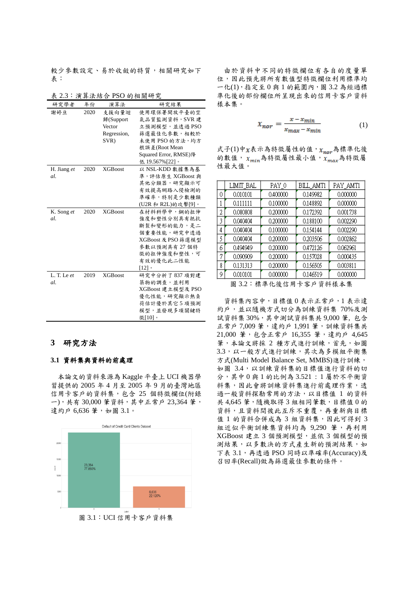較少參數設定、易於收斂的特質,相關研究如下 表:

| 表 2.3:演算法結合 PSO 的相關研究   |      |                                                     |                                                                                                                                           |  |
|-------------------------|------|-----------------------------------------------------|-------------------------------------------------------------------------------------------------------------------------------------------|--|
| 研究學者                    | 年份   | 演算法                                                 | 研究結果                                                                                                                                      |  |
| 謝婷亘                     | 2020 | 支援向量迴<br>歸(Support<br>Vector<br>Regression,<br>SVR) | 使用環保署開放平臺的空<br>氣品質監測資料, SVR建<br>立預測模型,並透過PSO<br>篩選最佳化參數,相較於<br>未使用 PSO 的方法,均方<br>根誤差(Root Mean<br>Squared Error, RMSE)降<br>低 19.567%[22]。 |  |
| H. Jiang et<br>al.      | 2020 | <b>XGBoost</b>                                      | 以 NSL-KDD 數據集為基<br>準,評估原生 XGBoost 與<br>其他分類器,研究顯示可<br>有效提高網路入侵檢測的<br>準確率,特別是少數種類<br>(U2R 和 R2L)的攻擊[9]。                                    |  |
| K. Song et<br>al.       | 2020 | <b>XGBoost</b>                                      | 在材料科學中,鋼的拉伸<br>強度和塑性分別具有抵抗<br>斷裂和變形的能力,是二<br>個重要性能,研究中透過<br>XGBoost 及 PSO 篩選模型<br>參數以預測具有27個特<br>徵的拉伸強度和塑性,可<br>有效的優化此二性能<br>[12]         |  |
| $L$ . T. Le $et$<br>al. | 2019 | <b>XGBoost</b>                                      | 研究中分析了837 項對建<br>築物的調查,並利用<br>XGBoost 建立模型及 PSO<br>優化性能,研究顯示熱負<br>荷估計優於其它5項預測<br>模型,並發現多項關鍵特<br>徵[10]。                                    |  |

#### **3** 研究方法

#### **3.1** 資料集與資料的前處理

本論文的資料來源為 Kaggle 平臺上 UCI 機器學 習提供的 2005 年 4 月至 2005 年 9 月的臺灣地區 信用卡客戶的資料集,包含 25 個特徵欄位(附錄 一),共有 30,000 筆資料,其中正常戶 23,364 筆, 違約戶 6,636 筆,如圖 3.1。



由於資料中不同的特徵欄位有各自的度量單 位,因此預先將所有數值型特徵欄位利用標準均 一化(1),指定至 0 與 1 的範圍內,圖 3.2 為經過標 準化後的部份欄位所呈現出來的信用卡客戶資料 樣本集。

$$
x_{nor} = \frac{x - x_{min}}{x_{max} - x_{min}} \tag{1}
$$

式子(1)中 $x$ 表示為特徵屬性的值,  $x_{nor}$ 為標準化後 的數值,  $x_{min}$ 為特徵屬性最小值,  $x_{max}$ 為特徵屬 性最大值。

|   | LIMIT_BAL                | PAY_0    | BILL_AMT1 | PAY_AMT1 |  |  |  |
|---|--------------------------|----------|-----------|----------|--|--|--|
| 0 | 0.010101                 | 0.400000 | 0.149982  | 0.000000 |  |  |  |
|   | 0.111111                 | 0.100000 | 0.148892  | 0.000000 |  |  |  |
| 2 | 0.080808                 | 0.200000 | 0.172392  | 0.001738 |  |  |  |
| 3 | 0.040404                 | 0.200000 | 0.188100  | 0.002290 |  |  |  |
| 4 | 0.040404                 | 0.100000 | 0.154144  | 0.002290 |  |  |  |
| 5 | 0.040404                 | 0.200000 | 0.203506  | 0.002862 |  |  |  |
| 6 | 0.494949                 | 0.200000 | 0.472126  | 0.062961 |  |  |  |
| 7 | 0.090909                 | 0.200000 | 0.157028  | 0.000435 |  |  |  |
| 8 | 0.131313                 | 0.200000 | 0.156505  | 0.003811 |  |  |  |
| 9 | 0.010101                 | 0.000000 | 0.146519  | 0.000000 |  |  |  |
|   | 上心么次州以上住<br>同つつ・1 赤淮川など田 |          |           |          |  |  |  |

圖 3.2:標準化後信用卡客戶資料樣本集

資料集內容中,目標值 0 表示正常戶,1 表示違 約戶,並以隨機方式切分為訓練資料集 70%及測 試資料集 30%,其中測試資料集共 9,000 筆, 包含 正常戶 7,009 筆,違約戶 1,991 筆,訓練資料集共 21,000 筆,包含正常戶 16,355 筆,違約戶 4,645 筆,本論文將採 2 種方式進行訓練,首先,如圖 3.3,以一般方式進行訓練,其次為多模組平衡集 方式(Multi Model Balance Set, MMBS)進行訓練, 如圖 3.4,以訓練資料集的目標值進行資料的切 分,其中 0 與 1 的比例為 3.521 : 1 屬於不平衡資 料集,因此會將訓練資料集進行前處理作業,透 過一般資料探勘常用的方法,以目標值 1 的資料 共 4,645 筆,隨機取得 3 組相同筆數,目標值 0 的 資料,且資料間彼此互斥不重覆,再重新與目標 值 1 的資料合併成為 3 組資料集,因此可得到 3 組近似平衡訓練集資料均為 9,290 筆,再利用 XGBoost 建立 3 個預測模型,並依 3 個模型的預 測結果,以多數決的方式產生新的預測結果,如 下表 3.1,再透過 PSO 同時以準確率(Accuracy)及 召回率(Recall)做為篩選最佳參數的條件。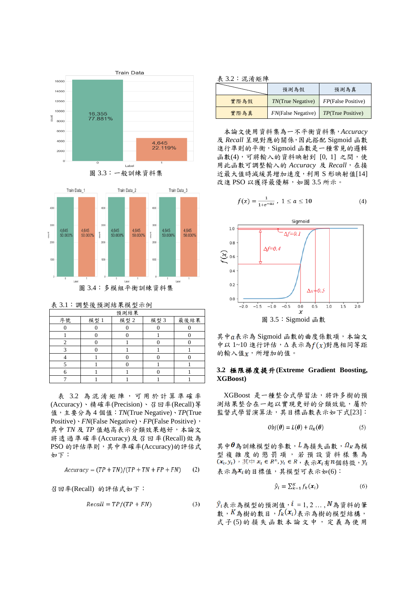





表 3.1:調整後預測結果模型示例

| 預測結果 |      |      |      |      |  |  |
|------|------|------|------|------|--|--|
| 序號   | 模型 1 | 模型 2 | 模型 3 | 最後結果 |  |  |
|      |      |      |      |      |  |  |
|      |      |      |      |      |  |  |
|      |      |      |      |      |  |  |
|      |      |      |      |      |  |  |
|      |      |      |      |      |  |  |
|      |      |      |      |      |  |  |
|      |      |      |      |      |  |  |
|      |      |      |      |      |  |  |

表 3.2 為 混淆矩陣 , 可 用 於 計 算 準確率 (Accuracy)、精確率(Precision)、召回率(Recall)等 值,主要分為 4 個值:*TN*(True Negative)、*TP*(True Positive)、*FN*(False Negative)、*FP*(False Positive), 其中 *TN* 及 *TP* 值越高表示分類效果越好,本論文 將透過準確率(Accuracy)及召回率(Recall)做為 PSO 的評估準則,其中準確率(Accuracy)的評估式 如下:

$$
Accuracy = (TP + TN)/(TP + TN + FP + FN)
$$
 (2)

召回率(Recall) 的評估式如下:

$$
Recall = TP/(TP + FN)
$$
 (3)

表 3.2:混淆矩陣

| . . <del>.</del> . <i>. .</i> |                            |                    |  |
|-------------------------------|----------------------------|--------------------|--|
|                               | 預測為假                       | 預測為真               |  |
| 實際為假                          | <i>TN</i> (True Negative)  | FP(False Positive) |  |
| 實際為真                          | <b>FN</b> (False Negative) | TP(True Positive)  |  |

本論文使用資料集為一不平衡資料集,*Accuracy* 及 *Recall* 呈現對應的關係,因此搭配 Sigmoid 函數 進行準則的平衡,Sigmoid 函數是一種常見的邏輯 函數(4),可將輸入的資料映射到 [0, 1] 之間,使 用此函數可調整輸入的 *Accuracy* 及 *Recall*,在接 近最大值時減緩其增加速度,利用 S 形映射值[14] 改進 PSO 以獲得最優解, 如圖 3.5 所示。

$$
f(x) = \frac{1}{1 + e^{-ax}}, \ 1 \le a \le 10
$$
 (4)



其中a表示為 Sigmoid 函數的曲度係數項,本論文 中以  $1-10$  進行評估, $Δ \nless F(x)$ 對應相同等距 的輸入值x,所增加的值。

#### **3.2** 極限梯度提升**(Extreme Gradient Boosting, XGBoost)**

XGBoost 是一種整合式學習法,將許多樹的預 測結果整合在一起以實現更好的分類效能,屬於 監督式學習演算法,其目標函數表示如下式[23]:

$$
Obj(\boldsymbol{\theta}) = L(\boldsymbol{\theta}) + \Omega_K(\boldsymbol{\theta})
$$
\n(5)

其中 $\boldsymbol{\theta}$ 為訓練模型的參數, $L$ 為損失函數, $\Omega_K$ 為模 型 複 雜 度 的 懲 罰 項 , 若 預設資 料 樣 集 為  $(x_i, y_i)$ , 其中  $x_i \in R^n, y_i \in R$ , 表示 $x_i$ 有 $n$ 個特徵,  $y_i$ 表示為 $\mathcal{X}_i$ 的目標值,其模型可表示如(6):

$$
\hat{y}_i = \sum_{k=1}^K f_k(\boldsymbol{x}_i) \tag{6}
$$

 $\hat{y}_i$ 表示為模型的預測值, $i = 1, 2, ..., N$ 為資料的筆 數,  $K$ 為樹的數目,  $f_k(x_i)$ 表示為樹的模型結構, 式子(5)的損失函數本論文中,定義為使用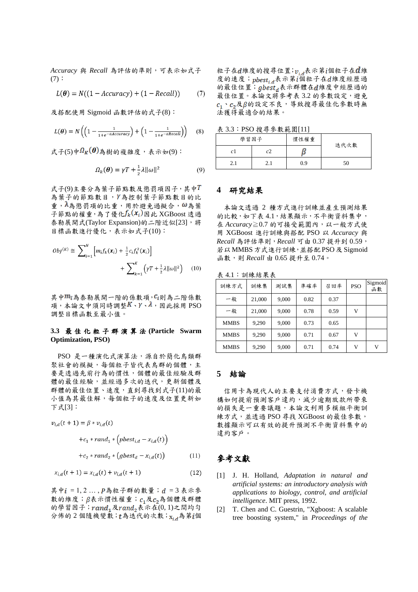*Accuracy* 與 *Recall* 為評估的準則,可表示如式子  $(7):$ 

$$
L(\boldsymbol{\theta}) = N((1 - Accuracy) + (1 - Recall)) \tag{7}
$$

及搭配使用 Sigmoid 函數評估的式子(8):

$$
L(\boldsymbol{\theta}) = N\left(\left(1 - \frac{1}{1 + e^{-aAccuracy}}\right) + \left(1 - \frac{1}{1 + e^{-aRecall}}\right)\right) \tag{8}
$$

式子(5)中 $\Omega_K(\boldsymbol{\theta})$ 為樹的複雜度,表示如(9):

$$
\Omega_k(\boldsymbol{\theta}) = \gamma T + \frac{1}{2}\lambda ||\omega||^2 \tag{9}
$$

式子(9)主要分為葉子節點數及懲罰項因子,其中T 為葉子的節點數目, Y為控制葉子節點數目的比 重, λ為懲罰項的比重, 用於避免過擬合, ω為葉 子節點的權重,為了優化 $f_k(x_i)$ 因此 XGBoost 透過 泰勒展開式(Taylor Expansion)的二階近似[23],將 目標函數進行優化,表示如式子(10):

$$
Obj^{(K)} \cong \sum_{i=1}^{N} \left[ m_i f_k(\mathbf{x}_i) + \frac{1}{2} c_i f_k^2(\mathbf{x}_i) \right] + \sum_{k=1}^{K} \left( \gamma T + \frac{1}{2} \lambda ||\omega||^2 \right) \tag{10}
$$

其中 $m_5$ 為泰勒展開一階的係數項,  $c_i$ 則為二階係數 項, 本論文中須同時調整 $K \cdot \gamma \cdot \lambda$ , 因此採用 PSO 調整目標函數至最小值。

#### **3.3** 最佳化粒子群演 算 法 **(Particle Swarm Optimization, PSO)**

PSO 是一種演化式演算法,源自於簡化鳥類群 聚社會的模擬,每個粒子皆代表鳥群的個體,主 要是透過先前行為的慣性,個體的最佳經驗及群 體的最佳經驗,並經過多次的迭代,更新個體及 群體的最佳位置、速度,直到尋找到式子(11)的最 小值為其最佳解,每個粒子的速度及位置更新如 下式[3]:

$$
v_{i,d}(t+1) = \beta * v_{i,d}(t)
$$

$$
+c_1 * rand_1 * (pbest_{i,d} - x_{i,d}(t))
$$

+c<sub>2</sub> \* rand<sub>2</sub> \* (gbest<sub>d</sub> –  $x_{i,d}(t)$ )  $(11)$ 

$$
x_{i,d}(t+1) = x_{i,d}(t) + v_{i,d}(t+1)
$$
\n(12)

其中 $i = 1, 2, \ldots, P$ 為粒子群的數量;  $d = 3$  表示參 數的維度; β表示慣性權重; c,及c,為個體及群體 的學習因子;  $rand_1$  及 $rand_2$  表示在 $(0, 1)$ 之間均勻 分佈的2個隨機變數;t為迭代的次數;xia為第i個

粒子在d維度的搜尋位置;  $v_{i,d}$ 表示第1個粒子在d維 度的速度; pbestid表示第1個粒子在d維度經歷過 的最佳位置;  $g$ best  $_d$  表示群體在 $d$ 維度中經歷過的 最佳位置。本論文將參考表 3.2 的參數設定,避免  $c_1$ , $c_2$ 及 $\beta$ 的設定不良,導致搜尋最佳化參數時無 法獲得最適合的結果。

表 3.3:PSO 搜尋參數範圍[11]

| 學習因子 |     | 慣性權重 | 迭代次數 |
|------|-----|------|------|
| сl   | c). |      |      |
| 2.1  |     | 0.9  | 50   |

### **4** 研究結果

本論文透過 2 種方式進行訓練並產生預測結果 的比較,如下表 4.1,結果顯示,不平衡資料集中, 在 *Accuracy*≧0.7 的可接受範圍內,以一般方式使 用 XGBoost 進行訓練與搭配 PSO 以 *Accuracy* 與 *Recall* 為評估準則,*Recall* 可由 0.37 提升到 0.59, 若以MMBS方式進行訓練,並搭配PSO及 Sigmoid 函數,則 *Recall* 由 0.65 提升至 0.74。

表 4.1:訓練結果表

| 訓練方式        | 訓練集    | 測試集   | 準確率  | 召回率  | <b>PSO</b> | Sigmoid<br>函數 |
|-------------|--------|-------|------|------|------------|---------------|
| 一般          | 21,000 | 9,000 | 0.82 | 0.37 |            |               |
| 一般          | 21,000 | 9,000 | 0.78 | 0.59 | v          |               |
| <b>MMBS</b> | 9,290  | 9,000 | 0.73 | 0.65 |            |               |
| <b>MMBS</b> | 9,290  | 9,000 | 0.71 | 0.67 | V          |               |
| <b>MMBS</b> | 9,290  | 9,000 | 0.71 | 0.74 | V          | V             |

### **5** 結論

信用卡為現代人的主要支付消費方式,發卡機 構如何提前預測客戶違約,減少逾期放款所帶來 的損失是一重要議題,本論文利用多模組平衡訓 練方式,並透過 PSO 尋找 XGBoost 的最佳參數, 數據顯示可以有效的提升預測不平衡資料集中的 違約客戶。

# 參考文獻

- [1] J. H. Holland, *Adaptation in natural and artificial systems: an introductory analysis with applications to biology, control, and artificial intelligence*. MIT press, 1992.
- [2] T. Chen and C. Guestrin, "Xgboost: A scalable tree boosting system," in *Proceedings of the*